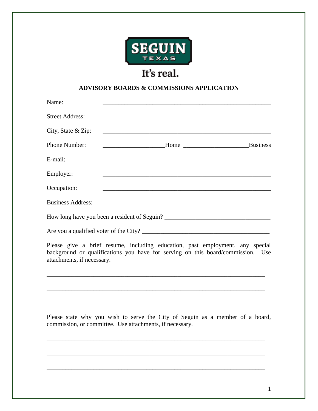

## It's real.

## **ADVISORY BOARDS & COMMISSIONS APPLICATION**

| Name:                    |                                                                                                                      |  |
|--------------------------|----------------------------------------------------------------------------------------------------------------------|--|
| <b>Street Address:</b>   |                                                                                                                      |  |
| City, State & Zip:       |                                                                                                                      |  |
| Phone Number:            |                                                                                                                      |  |
| E-mail:                  |                                                                                                                      |  |
| Employer:                |                                                                                                                      |  |
| Occupation:              |                                                                                                                      |  |
| <b>Business Address:</b> | <u> 1980 - Andrea Barbara, amerikan persoa dan persoa dan persoa dan persoa dan persoa dan persoa dan persoa dan</u> |  |
|                          |                                                                                                                      |  |
|                          |                                                                                                                      |  |
|                          | Dlagge give a brief regume including education next employment any gracial                                           |  |

Please give a brief resume, including education, past employment, any special background or qualifications you have for serving on this board/commission. Use attachments, if necessary.

\_\_\_\_\_\_\_\_\_\_\_\_\_\_\_\_\_\_\_\_\_\_\_\_\_\_\_\_\_\_\_\_\_\_\_\_\_\_\_\_\_\_\_\_\_\_\_\_\_\_\_\_\_\_\_\_\_\_\_\_\_\_\_\_\_\_\_\_\_\_

\_\_\_\_\_\_\_\_\_\_\_\_\_\_\_\_\_\_\_\_\_\_\_\_\_\_\_\_\_\_\_\_\_\_\_\_\_\_\_\_\_\_\_\_\_\_\_\_\_\_\_\_\_\_\_\_\_\_\_\_\_\_\_\_\_\_\_\_\_\_

\_\_\_\_\_\_\_\_\_\_\_\_\_\_\_\_\_\_\_\_\_\_\_\_\_\_\_\_\_\_\_\_\_\_\_\_\_\_\_\_\_\_\_\_\_\_\_\_\_\_\_\_\_\_\_\_\_\_\_\_\_\_\_\_\_\_\_\_\_\_

Please state why you wish to serve the City of Seguin as a member of a board, commission, or committee. Use attachments, if necessary.

\_\_\_\_\_\_\_\_\_\_\_\_\_\_\_\_\_\_\_\_\_\_\_\_\_\_\_\_\_\_\_\_\_\_\_\_\_\_\_\_\_\_\_\_\_\_\_\_\_\_\_\_\_\_\_\_\_\_\_\_\_\_\_\_\_\_\_\_\_\_

\_\_\_\_\_\_\_\_\_\_\_\_\_\_\_\_\_\_\_\_\_\_\_\_\_\_\_\_\_\_\_\_\_\_\_\_\_\_\_\_\_\_\_\_\_\_\_\_\_\_\_\_\_\_\_\_\_\_\_\_\_\_\_\_\_\_\_\_\_\_

\_\_\_\_\_\_\_\_\_\_\_\_\_\_\_\_\_\_\_\_\_\_\_\_\_\_\_\_\_\_\_\_\_\_\_\_\_\_\_\_\_\_\_\_\_\_\_\_\_\_\_\_\_\_\_\_\_\_\_\_\_\_\_\_\_\_\_\_\_\_